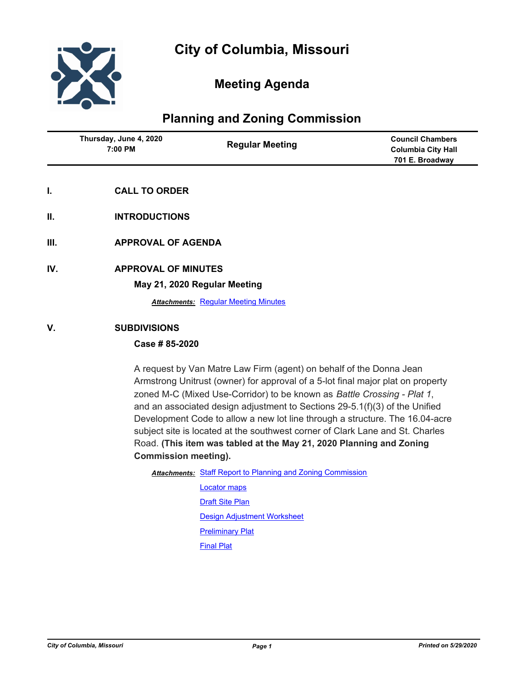

## **Meeting Agenda**

## **Planning and Zoning Commission**

| Thursday, June 4, 2020<br>7:00 PM | <b>Regular Meeting</b> | <b>Council Chambers</b><br>Columbia City Hall<br>701 E. Broadway |
|-----------------------------------|------------------------|------------------------------------------------------------------|
|                                   |                        |                                                                  |

- **I. CALL TO ORDER**
- **II. INTRODUCTIONS**
- **III. APPROVAL OF AGENDA**
- **IV. APPROVAL OF MINUTES**

**May 21, 2020 Regular Meeting**

**Attachments: [Regular Meeting Minutes](http://gocolumbiamo.legistar.com/gateway.aspx?M=F&ID=2403e7e8-bff1-4bd7-b4c9-81d920d9193f.docx)** 

#### **V. SUBDIVISIONS**

#### **Case # 85-2020**

A request by Van Matre Law Firm (agent) on behalf of the Donna Jean Armstrong Unitrust (owner) for approval of a 5-lot final major plat on property zoned M-C (Mixed Use-Corridor) to be known as *Battle Crossing - Plat 1*, and an associated design adjustment to Sections 29-5.1(f)(3) of the Unified Development Code to allow a new lot line through a structure. The 16.04-acre subject site is located at the southwest corner of Clark Lane and St. Charles Road. **(This item was tabled at the May 21, 2020 Planning and Zoning Commission meeting).**

- Attachments: [Staff Report to Planning and Zoning Commission](http://gocolumbiamo.legistar.com/gateway.aspx?M=F&ID=27ecfcb7-246d-4bb3-87ca-b86522c7e6ed.docx)
	- [Locator maps](http://gocolumbiamo.legistar.com/gateway.aspx?M=F&ID=d150e478-3d4d-4e5f-adf4-8a9fd34d506c.pdf) **[Draft Site Plan](http://gocolumbiamo.legistar.com/gateway.aspx?M=F&ID=5b244616-98b3-4159-9594-7b9f7c09d87e.pdf)** [Design Adjustment Worksheet](http://gocolumbiamo.legistar.com/gateway.aspx?M=F&ID=378cb511-16dc-4910-933c-33b394c64026.pdf) [Preliminary Plat](http://gocolumbiamo.legistar.com/gateway.aspx?M=F&ID=2d60e0af-4801-4a3d-9295-e255f32ec42e.pdf) [Final Plat](http://gocolumbiamo.legistar.com/gateway.aspx?M=F&ID=014cbe58-8620-4928-a727-2a8deba6f450.pdf)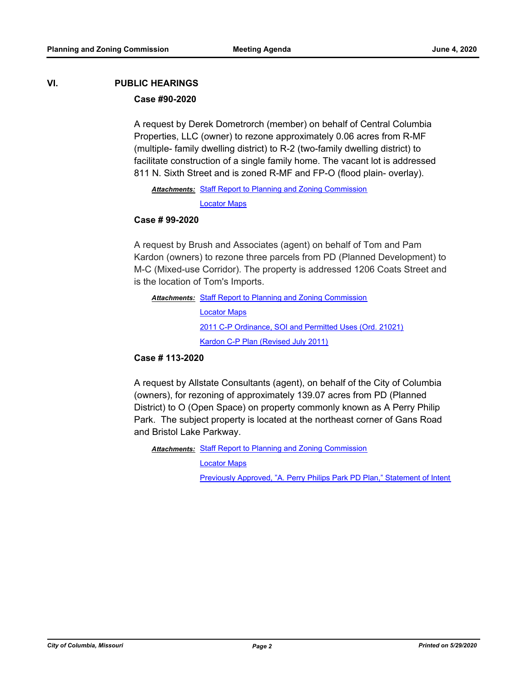# **VI. PUBLIC HEARINGS**

### **Case #90-2020**

A request by Derek Dometrorch (member) on behalf of Central Columbia Properties, LLC (owner) to rezone approximately 0.06 acres from R-MF (multiple- family dwelling district) to R-2 (two-family dwelling district) to facilitate construction of a single family home. The vacant lot is addressed 811 N. Sixth Street and is zoned R-MF and FP-O (flood plain- overlay).

Attachments: [Staff Report to Planning and Zoning Commission](http://gocolumbiamo.legistar.com/gateway.aspx?M=F&ID=0ba4edc6-e7b2-4cb6-bf55-8f34473453fe.docx)

[Locator Maps](http://gocolumbiamo.legistar.com/gateway.aspx?M=F&ID=eac28ceb-97cc-4edc-a650-4502ea543f43.pdf)

#### **Case # 99-2020**

A request by Brush and Associates (agent) on behalf of Tom and Pam Kardon (owners) to rezone three parcels from PD (Planned Development) to M-C (Mixed-use Corridor). The property is addressed 1206 Coats Street and is the location of Tom's Imports.

Attachments: [Staff Report to Planning and Zoning Commission](http://gocolumbiamo.legistar.com/gateway.aspx?M=F&ID=c6c14666-fc36-46a5-aca3-d66bdb6f1920.docx) [Locator Maps](http://gocolumbiamo.legistar.com/gateway.aspx?M=F&ID=b85fa0c4-00c0-4b1f-8d02-96e35d3dd04f.pdf) [2011 C-P Ordinance, SOI and Permitted Uses \(Ord. 21021\)](http://gocolumbiamo.legistar.com/gateway.aspx?M=F&ID=567dca36-4c9d-4ca7-89cc-152562eb8b87.pdf) [Kardon C-P Plan \(Revised July 2011\)](http://gocolumbiamo.legistar.com/gateway.aspx?M=F&ID=4351a7f2-dfe0-40c7-8e17-af76348e3a3e.pdf)

#### **Case # 113-2020**

A request by Allstate Consultants (agent), on behalf of the City of Columbia (owners), for rezoning of approximately 139.07 acres from PD (Planned District) to O (Open Space) on property commonly known as A Perry Philip Park. The subject property is located at the northeast corner of Gans Road and Bristol Lake Parkway.

Attachments: [Staff Report to Planning and Zoning Commission](http://gocolumbiamo.legistar.com/gateway.aspx?M=F&ID=c5c6d0e8-3854-4d71-9f96-c70770b8bf78.docx)

[Locator Maps](http://gocolumbiamo.legistar.com/gateway.aspx?M=F&ID=39c81c37-1c73-4f63-9b89-414cc42d8c5f.pdf)

[Previously Approved, "A. Perry Philips Park PD Plan," Statement of Intent](http://gocolumbiamo.legistar.com/gateway.aspx?M=F&ID=4561d301-f7cc-4bfa-bc31-3bdfef412721.pdf)